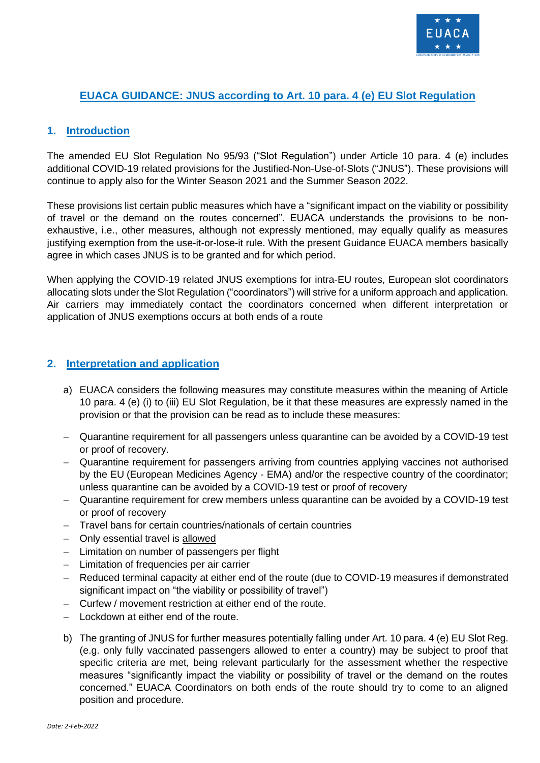

## **EUACA GUIDANCE: JNUS according to Art. 10 para. 4 (e) EU Slot Regulation**

## **1. Introduction**

The amended EU Slot Regulation No 95/93 ("Slot Regulation") under Article 10 para. 4 (e) includes additional COVID-19 related provisions for the Justified-Non-Use-of-Slots ("JNUS"). These provisions will continue to apply also for the Winter Season 2021 and the Summer Season 2022.

These provisions list certain public measures which have a "significant impact on the viability or possibility of travel or the demand on the routes concerned". EUACA understands the provisions to be nonexhaustive, i.e., other measures, although not expressly mentioned, may equally qualify as measures justifying exemption from the use-it-or-lose-it rule. With the present Guidance EUACA members basically agree in which cases JNUS is to be granted and for which period.

When applying the COVID-19 related JNUS exemptions for intra-EU routes, European slot coordinators allocating slots under the Slot Regulation ("coordinators") will strive for a uniform approach and application. Air carriers may immediately contact the coordinators concerned when different interpretation or application of JNUS exemptions occurs at both ends of a route

## **2. Interpretation and application**

- a) EUACA considers the following measures may constitute measures within the meaning of Article 10 para. 4 (e) (i) to (iii) EU Slot Regulation, be it that these measures are expressly named in the provision or that the provision can be read as to include these measures:
- − Quarantine requirement for all passengers unless quarantine can be avoided by a COVID-19 test or proof of recovery.
- − Quarantine requirement for passengers arriving from countries applying vaccines not authorised by the EU (European Medicines Agency - EMA) and/or the respective country of the coordinator; unless quarantine can be avoided by a COVID-19 test or proof of recovery
- − Quarantine requirement for crew members unless quarantine can be avoided by a COVID-19 test or proof of recovery
- − Travel bans for certain countries/nationals of certain countries
- − Only essential travel is allowed
- − Limitation on number of passengers per flight
- − Limitation of frequencies per air carrier
- − Reduced terminal capacity at either end of the route (due to COVID-19 measures if demonstrated significant impact on "the viability or possibility of travel")
- − Curfew / movement restriction at either end of the route.
- − Lockdown at either end of the route.
- b) The granting of JNUS for further measures potentially falling under Art. 10 para. 4 (e) EU Slot Reg. (e.g. only fully vaccinated passengers allowed to enter a country) may be subject to proof that specific criteria are met, being relevant particularly for the assessment whether the respective measures "significantly impact the viability or possibility of travel or the demand on the routes concerned." EUACA Coordinators on both ends of the route should try to come to an aligned position and procedure.